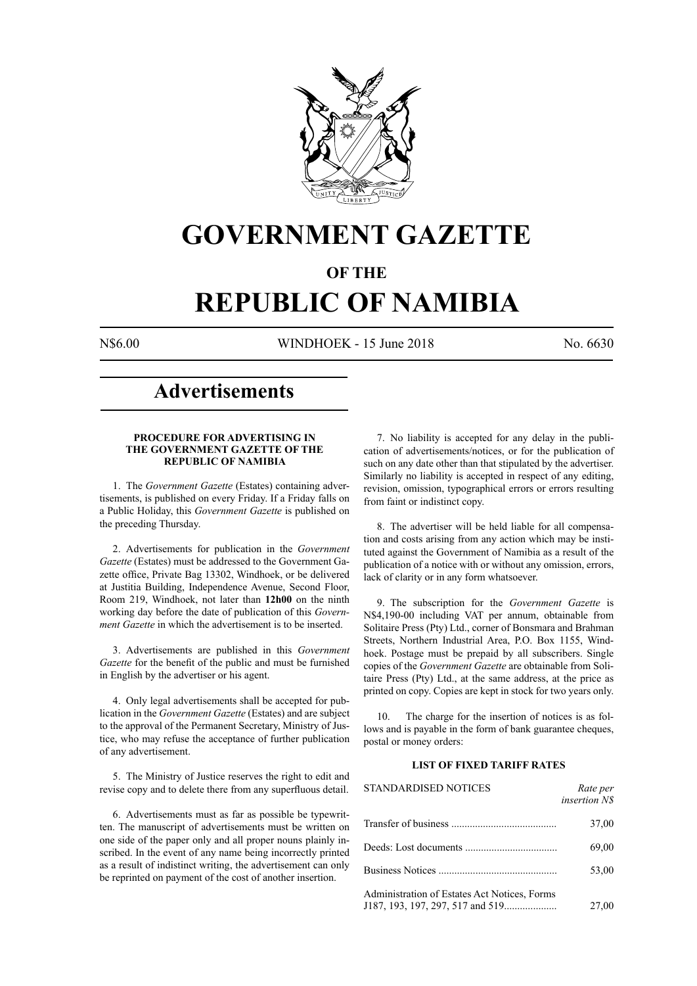

# **GOVERNMENT GAZETTE**

# **OF THE**

# **REPUBLIC OF NAMIBIA**

N\$6.00 WINDHOEK - 15 June 2018 No. 6630

# **Advertisements**

#### **PROCEDURE FOR ADVERTISING IN THE GOVERNMENT GAZETTE OF THE REPUBLIC OF NAMIBIA**

1. The *Government Gazette* (Estates) containing advertisements, is published on every Friday. If a Friday falls on a Public Holiday, this *Government Gazette* is published on the preceding Thursday.

2. Advertisements for publication in the *Government Gazette* (Estates) must be addressed to the Government Gazette office, Private Bag 13302, Windhoek, or be delivered at Justitia Building, Independence Avenue, Second Floor, Room 219, Windhoek, not later than **12h00** on the ninth working day before the date of publication of this *Government Gazette* in which the advertisement is to be inserted.

3. Advertisements are published in this *Government Gazette* for the benefit of the public and must be furnished in English by the advertiser or his agent.

4. Only legal advertisements shall be accepted for publication in the *Government Gazette* (Estates) and are subject to the approval of the Permanent Secretary, Ministry of Justice, who may refuse the acceptance of further publication of any advertisement.

5. The Ministry of Justice reserves the right to edit and revise copy and to delete there from any superfluous detail.

6. Advertisements must as far as possible be typewritten. The manuscript of advertisements must be written on one side of the paper only and all proper nouns plainly inscribed. In the event of any name being incorrectly printed as a result of indistinct writing, the advertisement can only be reprinted on payment of the cost of another insertion.

7. No liability is accepted for any delay in the publication of advertisements/notices, or for the publication of such on any date other than that stipulated by the advertiser. Similarly no liability is accepted in respect of any editing, revision, omission, typographical errors or errors resulting from faint or indistinct copy.

8. The advertiser will be held liable for all compensation and costs arising from any action which may be instituted against the Government of Namibia as a result of the publication of a notice with or without any omission, errors, lack of clarity or in any form whatsoever.

9. The subscription for the *Government Gazette* is N\$4,190-00 including VAT per annum, obtainable from Solitaire Press (Pty) Ltd., corner of Bonsmara and Brahman Streets, Northern Industrial Area, P.O. Box 1155, Windhoek. Postage must be prepaid by all subscribers. Single copies of the *Government Gazette* are obtainable from Solitaire Press (Pty) Ltd., at the same address, at the price as printed on copy. Copies are kept in stock for two years only.

10. The charge for the insertion of notices is as follows and is payable in the form of bank guarantee cheques, postal or money orders:

## **LIST OF FIXED TARIFF RATES**

| <b>STANDARDISED NOTICES</b>                  | Rate per<br><i>insertion NS</i> |
|----------------------------------------------|---------------------------------|
|                                              | 37,00                           |
|                                              | 69,00                           |
|                                              | 53,00                           |
| Administration of Estates Act Notices, Forms | 27,00                           |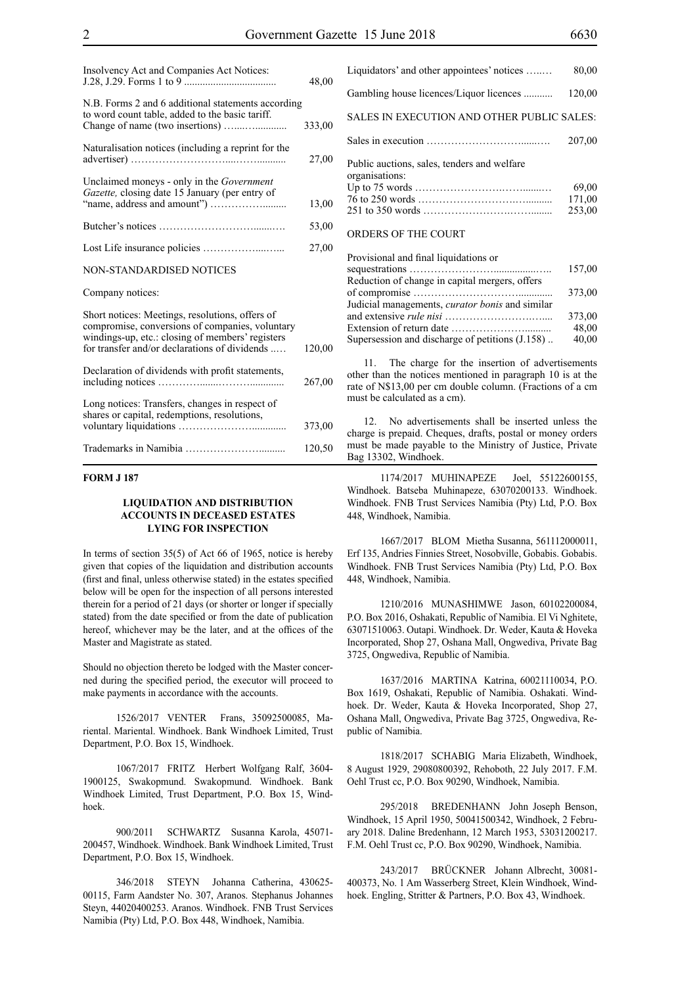| Insolvency Act and Companies Act Notices:                                                                                                                                                               | 48,00  |
|---------------------------------------------------------------------------------------------------------------------------------------------------------------------------------------------------------|--------|
| N.B. Forms 2 and 6 additional statements according<br>to word count table, added to the basic tariff.                                                                                                   | 333,00 |
| Naturalisation notices (including a reprint for the                                                                                                                                                     | 27,00  |
| Unclaimed moneys - only in the <i>Government</i><br>Gazette, closing date 15 January (per entry of                                                                                                      | 13,00  |
|                                                                                                                                                                                                         | 53,00  |
|                                                                                                                                                                                                         | 27,00  |
| NON-STANDARDISED NOTICES                                                                                                                                                                                |        |
| Company notices:                                                                                                                                                                                        |        |
| Short notices: Meetings, resolutions, offers of<br>compromise, conversions of companies, voluntary<br>windings-up, etc.: closing of members' registers<br>for transfer and/or declarations of dividends | 120,00 |
| Declaration of dividends with profit statements,                                                                                                                                                        | 267,00 |
| Long notices: Transfers, changes in respect of<br>shares or capital, redemptions, resolutions,                                                                                                          | 373,00 |
|                                                                                                                                                                                                         | 120,50 |

#### **FORM J 187**

#### **LIQUIDATION AND DISTRIBUTION ACCOUNTS IN DECEASED ESTATES LYING FOR INSPECTION**

In terms of section 35(5) of Act 66 of 1965, notice is hereby given that copies of the liquidation and distribution accounts (first and final, unless otherwise stated) in the estates specified below will be open for the inspection of all persons interested therein for a period of 21 days (or shorter or longer if specially stated) from the date specified or from the date of publication hereof, whichever may be the later, and at the offices of the Master and Magistrate as stated.

Should no objection thereto be lodged with the Master concerned during the specified period, the executor will proceed to make payments in accordance with the accounts.

1526/2017 VENTER Frans, 35092500085, Mariental. Mariental. Windhoek. Bank Windhoek Limited, Trust Department, P.O. Box 15, Windhoek.

1067/2017 FRITZ Herbert Wolfgang Ralf, 3604- 1900125, Swakopmund. Swakopmund. Windhoek. Bank Windhoek Limited, Trust Department, P.O. Box 15, Windhoek.

900/2011 SCHWARTZ Susanna Karola, 45071- 200457, Windhoek. Windhoek. Bank Windhoek Limited, Trust Department, P.O. Box 15, Windhoek.

346/2018 STEYN Johanna Catherina, 430625- 00115, Farm Aandster No. 307, Aranos. Stephanus Johannes Steyn, 44020400253. Aranos. Windhoek. FNB Trust Services Namibia (Pty) Ltd, P.O. Box 448, Windhoek, Namibia.

| organisations: |        |
|----------------|--------|
|                | 69.00  |
|                | 171.00 |
|                | 253.00 |

#### ORDERS OF THE COURT

| Provisional and final liquidations or                  |        |
|--------------------------------------------------------|--------|
|                                                        | 157,00 |
| Reduction of change in capital mergers, offers         |        |
|                                                        | 373,00 |
| Judicial managements, <i>curator bonis</i> and similar |        |
|                                                        | 373,00 |
|                                                        | 48,00  |
| Supersession and discharge of petitions $(1.158)$ .    | 40,00  |
|                                                        |        |

11. The charge for the insertion of advertisements other than the notices mentioned in paragraph 10 is at the rate of N\$13,00 per cm double column. (Fractions of a cm must be calculated as a cm).

12. No advertisements shall be inserted unless the charge is prepaid. Cheques, drafts, postal or money orders must be made payable to the Ministry of Justice, Private Bag 13302, Windhoek.

1174/2017 MUHINAPEZE Joel, 55122600155, Windhoek. Batseba Muhinapeze, 63070200133. Windhoek. Windhoek. FNB Trust Services Namibia (Pty) Ltd, P.O. Box 448, Windhoek, Namibia.

1667/2017 BLOM Mietha Susanna, 561112000011, Erf 135, Andries Finnies Street, Nosobville, Gobabis. Gobabis. Windhoek. FNB Trust Services Namibia (Pty) Ltd, P.O. Box 448, Windhoek, Namibia.

1210/2016 MUNASHIMWE Jason, 60102200084, P.O. Box 2016, Oshakati, Republic of Namibia. El Vi Nghitete, 63071510063. Outapi. Windhoek. Dr. Weder, Kauta & Hoveka Incorporated, Shop 27, Oshana Mall, Ongwediva, Private Bag 3725, Ongwediva, Republic of Namibia.

1637/2016 MARTINA Katrina, 60021110034, P.O. Box 1619, Oshakati, Republic of Namibia. Oshakati. Windhoek. Dr. Weder, Kauta & Hoveka Incorporated, Shop 27, Oshana Mall, Ongwediva, Private Bag 3725, Ongwediva, Republic of Namibia.

1818/2017 SCHABIG Maria Elizabeth, Windhoek, 8 August 1929, 29080800392, Rehoboth, 22 July 2017. F.M. Oehl Trust cc, P.O. Box 90290, Windhoek, Namibia.

295/2018 BREDENHANN John Joseph Benson, Windhoek, 15 April 1950, 50041500342, Windhoek, 2 February 2018. Daline Bredenhann, 12 March 1953, 53031200217. F.M. Oehl Trust cc, P.O. Box 90290, Windhoek, Namibia.

243/2017 BRÜCKNER Johann Albrecht, 30081- 400373, No. 1 Am Wasserberg Street, Klein Windhoek, Windhoek. Engling, Stritter & Partners, P.O. Box 43, Windhoek.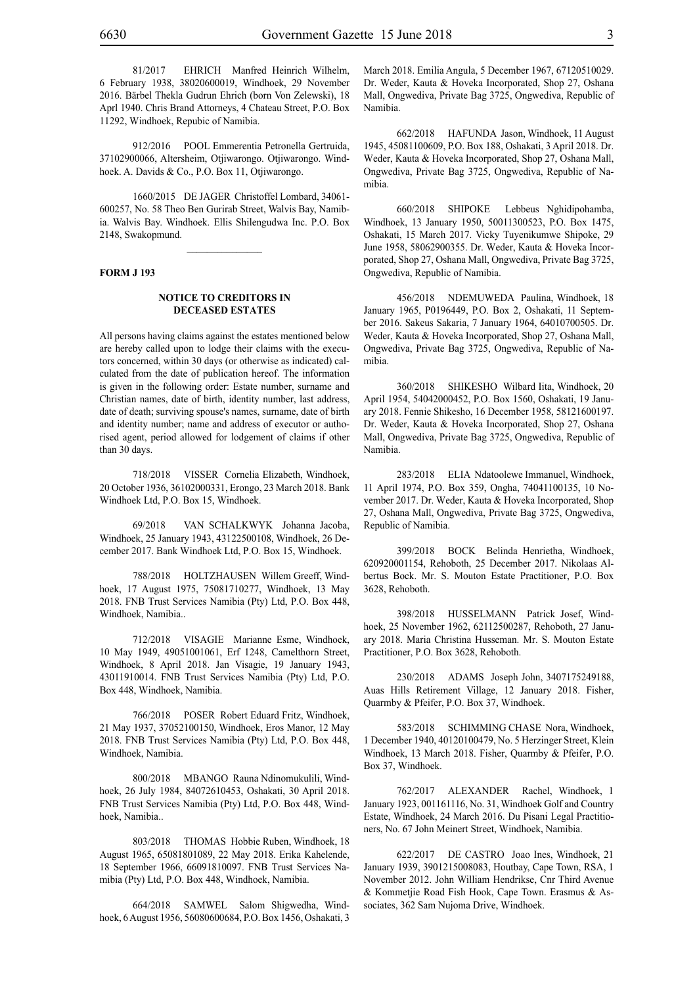912/2016 POOL Emmerentia Petronella Gertruida, 37102900066, Altersheim, Otjiwarongo. Otjiwarongo. Windhoek. A. Davids & Co., P.O. Box 11, Otjiwarongo.

1660/2015 DE JAGER Christoffel Lombard, 34061- 600257, No. 58 Theo Ben Gurirab Street, Walvis Bay, Namibia. Walvis Bay. Windhoek. Ellis Shilengudwa Inc. P.O. Box 2148, Swakopmund.

#### **FORM J 193**

#### **NOTICE TO CREDITORS IN DECEASED ESTATES**

All persons having claims against the estates mentioned below are hereby called upon to lodge their claims with the executors concerned, within 30 days (or otherwise as indicated) calculated from the date of publication hereof. The information is given in the following order: Estate number, surname and Christian names, date of birth, identity number, last address, date of death; surviving spouse's names, surname, date of birth and identity number; name and address of executor or authorised agent, period allowed for lodgement of claims if other than 30 days.

718/2018 VISSER Cornelia Elizabeth, Windhoek, 20 October 1936, 36102000331, Erongo, 23 March 2018. Bank Windhoek Ltd, P.O. Box 15, Windhoek.

69/2018 VAN SCHALKWYK Johanna Jacoba, Windhoek, 25 January 1943, 43122500108, Windhoek, 26 December 2017. Bank Windhoek Ltd, P.O. Box 15, Windhoek.

788/2018 HOLTZHAUSEN Willem Greeff, Windhoek, 17 August 1975, 75081710277, Windhoek, 13 May 2018. FNB Trust Services Namibia (Pty) Ltd, P.O. Box 448, Windhoek, Namibia..

712/2018 VISAGIE Marianne Esme, Windhoek, 10 May 1949, 49051001061, Erf 1248, Camelthorn Street, Windhoek, 8 April 2018. Jan Visagie, 19 January 1943, 43011910014. FNB Trust Services Namibia (Pty) Ltd, P.O. Box 448, Windhoek, Namibia.

766/2018 POSER Robert Eduard Fritz, Windhoek, 21 May 1937, 37052100150, Windhoek, Eros Manor, 12 May 2018. FNB Trust Services Namibia (Pty) Ltd, P.O. Box 448, Windhoek, Namibia.

800/2018 MBANGO Rauna Ndinomukulili, Windhoek, 26 July 1984, 84072610453, Oshakati, 30 April 2018. FNB Trust Services Namibia (Pty) Ltd, P.O. Box 448, Windhoek, Namibia..

803/2018 THOMAS Hobbie Ruben, Windhoek, 18 August 1965, 65081801089, 22 May 2018. Erika Kahelende, 18 September 1966, 66091810097. FNB Trust Services Namibia (Pty) Ltd, P.O. Box 448, Windhoek, Namibia.

664/2018 SAMWEL Salom Shigwedha, Windhoek, 6 August 1956, 56080600684, P.O. Box 1456, Oshakati, 3 March 2018. Emilia Angula, 5 December 1967, 67120510029. Dr. Weder, Kauta & Hoveka Incorporated, Shop 27, Oshana Mall, Ongwediva, Private Bag 3725, Ongwediva, Republic of Namibia.

662/2018 HAFUNDA Jason, Windhoek, 11 August 1945, 45081100609, P.O. Box 188, Oshakati, 3 April 2018. Dr. Weder, Kauta & Hoveka Incorporated, Shop 27, Oshana Mall, Ongwediva, Private Bag 3725, Ongwediva, Republic of Namibia.

660/2018 SHIPOKE Lebbeus Nghidipohamba, Windhoek, 13 January 1950, 50011300523, P.O. Box 1475, Oshakati, 15 March 2017. Vicky Tuyenikumwe Shipoke, 29 June 1958, 58062900355. Dr. Weder, Kauta & Hoveka Incorporated, Shop 27, Oshana Mall, Ongwediva, Private Bag 3725, Ongwediva, Republic of Namibia.

456/2018 NDEMUWEDA Paulina, Windhoek, 18 January 1965, P0196449, P.O. Box 2, Oshakati, 11 September 2016. Sakeus Sakaria, 7 January 1964, 64010700505. Dr. Weder, Kauta & Hoveka Incorporated, Shop 27, Oshana Mall, Ongwediva, Private Bag 3725, Ongwediva, Republic of Namibia.

360/2018 SHIKESHO Wilbard Iita, Windhoek, 20 April 1954, 54042000452, P.O. Box 1560, Oshakati, 19 January 2018. Fennie Shikesho, 16 December 1958, 58121600197. Dr. Weder, Kauta & Hoveka Incorporated, Shop 27, Oshana Mall, Ongwediva, Private Bag 3725, Ongwediva, Republic of Namibia.

283/2018 ELIA Ndatoolewe Immanuel, Windhoek, 11 April 1974, P.O. Box 359, Ongha, 74041100135, 10 November 2017. Dr. Weder, Kauta & Hoveka Incorporated, Shop 27, Oshana Mall, Ongwediva, Private Bag 3725, Ongwediva, Republic of Namibia.

399/2018 BOCK Belinda Henrietha, Windhoek, 620920001154, Rehoboth, 25 December 2017. Nikolaas Albertus Bock. Mr. S. Mouton Estate Practitioner, P.O. Box 3628, Rehoboth.

398/2018 HUSSELMANN Patrick Josef, Windhoek, 25 November 1962, 62112500287, Rehoboth, 27 January 2018. Maria Christina Husseman. Mr. S. Mouton Estate Practitioner, P.O. Box 3628, Rehoboth.

230/2018 ADAMS Joseph John, 3407175249188, Auas Hills Retirement Village, 12 January 2018. Fisher, Quarmby & Pfeifer, P.O. Box 37, Windhoek.

583/2018 SCHIMMING CHASE Nora, Windhoek, 1 December 1940, 40120100479, No. 5 Herzinger Street, Klein Windhoek, 13 March 2018. Fisher, Quarmby & Pfeifer, P.O. Box 37, Windhoek.

762/2017 ALEXANDER Rachel, Windhoek, 1 January 1923, 001161116, No. 31, Windhoek Golf and Country Estate, Windhoek, 24 March 2016. Du Pisani Legal Practitioners, No. 67 John Meinert Street, Windhoek, Namibia.

622/2017 DE CASTRO Joao Ines, Windhoek, 21 January 1939, 3901215008083, Houtbay, Cape Town, RSA, 1 November 2012. John William Hendrikse, Cnr Third Avenue & Kommetjie Road Fish Hook, Cape Town. Erasmus & Associates, 362 Sam Nujoma Drive, Windhoek.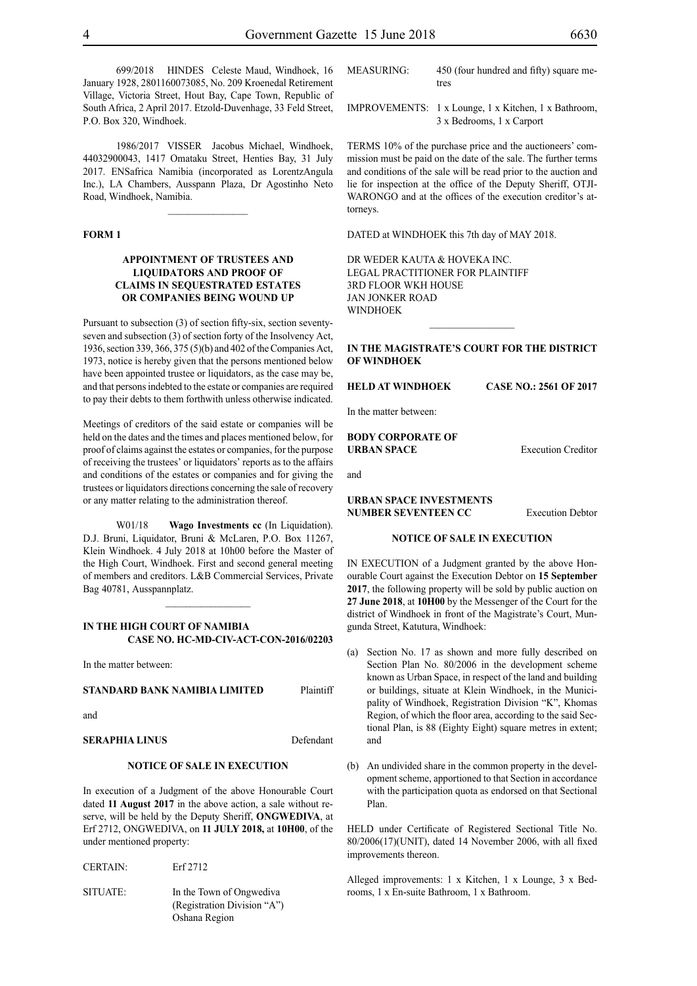699/2018 HINDES Celeste Maud, Windhoek, 16 January 1928, 2801160073085, No. 209 Kroenedal Retirement Village, Victoria Street, Hout Bay, Cape Town, Republic of South Africa, 2 April 2017. Etzold-Duvenhage, 33 Feld Street, P.O. Box 320, Windhoek.

1986/2017 VISSER Jacobus Michael, Windhoek, 44032900043, 1417 Omataku Street, Henties Bay, 31 July 2017. ENSafrica Namibia (incorporated as LorentzAngula Inc.), LA Chambers, Ausspann Plaza, Dr Agostinho Neto Road, Windhoek, Namibia.

 $\frac{1}{2}$ 

#### **FORM 1**

#### **APPOINTMENT OF TRUSTEES AND LIQUIDATORS AND PROOF OF CLAIMS IN SEQUESTRATED ESTATES OR COMPANIES BEING WOUND UP**

Pursuant to subsection (3) of section fifty-six, section seventyseven and subsection (3) of section forty of the Insolvency Act, 1936, section 339, 366, 375 (5)(b) and 402 of the Companies Act, 1973, notice is hereby given that the persons mentioned below have been appointed trustee or liquidators, as the case may be, and that persons indebted to the estate or companies are required to pay their debts to them forthwith unless otherwise indicated.

Meetings of creditors of the said estate or companies will be held on the dates and the times and places mentioned below, for proof of claims against the estates or companies, for the purpose of receiving the trustees' or liquidators' reports as to the affairs and conditions of the estates or companies and for giving the trustees or liquidators directions concerning the sale of recovery or any matter relating to the administration thereof.

W01/18 **Wago Investments cc** (In Liquidation). D.J. Bruni, Liquidator, Bruni & McLaren, P.O. Box 11267, Klein Windhoek. 4 July 2018 at 10h00 before the Master of the High Court, Windhoek. First and second general meeting of members and creditors. L&B Commercial Services, Private Bag 40781, Ausspannplatz.

#### **IN THE HIGH COURT OF NAMIBIA CASE NO. HC-MD-CIV-ACT-CON-2016/02203**

 $\frac{1}{2}$ 

In the matter between:

#### **STANDARD BANK NAMIBIA LIMITED** Plaintiff

and

**SERAPHIA LINUS** Defendant

#### **NOTICE OF SALE IN EXECUTION**

In execution of a Judgment of the above Honourable Court dated **11 August 2017** in the above action, a sale without reserve, will be held by the Deputy Sheriff, **ONGWEDIVA**, at Erf 2712, ONGWEDIVA, on **11 JULY 2018,** at **10H00**, of the under mentioned property:

| <b>CERTAIN:</b> | Erf 2712                                                                 |
|-----------------|--------------------------------------------------------------------------|
| SITUATE:        | In the Town of Ongwediva<br>(Registration Division "A")<br>Oshana Region |

MEASURING: 450 (four hundred and fifty) square metres

IMPROVEMENTS: 1 x Lounge, 1 x Kitchen, 1 x Bathroom, 3 x Bedrooms, 1 x Carport

TERMS 10% of the purchase price and the auctioneers' commission must be paid on the date of the sale. The further terms and conditions of the sale will be read prior to the auction and lie for inspection at the office of the Deputy Sheriff, OTJI-WARONGO and at the offices of the execution creditor's attorneys.

DATED at WINDHOEK this 7th day of MAY 2018.

DR WEDER KAUTA & HOVEKA INC. Legal Practitioner for Plaintiff 3Rd Floor WKH House Jan Jonker Road WINDHOEK

#### **IN THE MAGISTRATE'S COURT FOR THE DISTRICT OF WINDHOEK**

 $\frac{1}{2}$ 

**HELD AT WINDHOEK CASE NO.: 2561 OF 2017**

In the matter between:

#### **BODY CORPORATE OF URBAN SPACE** Execution Creditor

**URBAN SPACE INVESTMENTS NUMBER SEVENTEEN CC** Execution Debtor

#### **NOTICE OF SALE IN EXECUTION**

IN EXECUTION of a Judgment granted by the above Honourable Court against the Execution Debtor on **15 September 2017**, the following property will be sold by public auction on **27 June 2018**, at **10H00** by the Messenger of the Court for the district of Windhoek in front of the Magistrate's Court, Mungunda Street, Katutura, Windhoek:

- (a) Section No. 17 as shown and more fully described on Section Plan No. 80/2006 in the development scheme known as Urban Space, in respect of the land and building or buildings, situate at Klein Windhoek, in the Municipality of Windhoek, Registration Division "K", Khomas Region, of which the floor area, according to the said Sectional Plan, is 88 (Eighty Eight) square metres in extent; and
- (b) An undivided share in the common property in the development scheme, apportioned to that Section in accordance with the participation quota as endorsed on that Sectional Plan.

HELD under Certificate of Registered Sectional Title No. 80/2006(17)(UNIT), dated 14 November 2006, with all fixed improvements thereon.

Alleged improvements: 1 x Kitchen, 1 x Lounge, 3 x Bedrooms, 1 x En-suite Bathroom, 1 x Bathroom.

and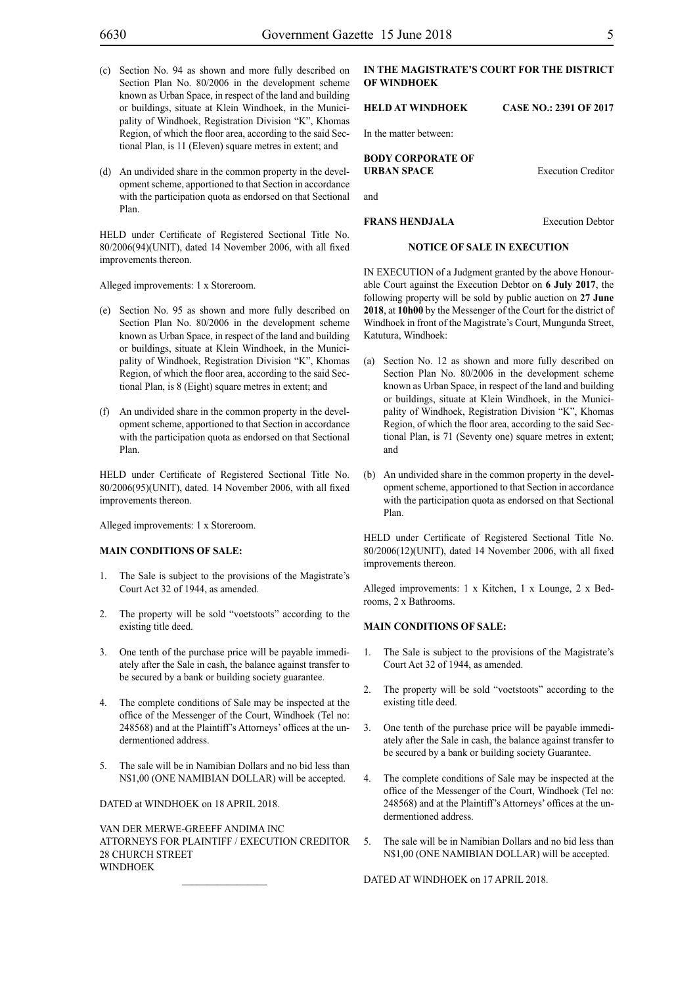- (c) Section No. 94 as shown and more fully described on Section Plan No. 80/2006 in the development scheme known as Urban Space, in respect of the land and building or buildings, situate at Klein Windhoek, in the Municipality of Windhoek, Registration Division "K", Khomas Region, of which the floor area, according to the said Sectional Plan, is 11 (Eleven) square metres in extent; and
- (d) An undivided share in the common property in the development scheme, apportioned to that Section in accordance with the participation quota as endorsed on that Sectional Plan.

HELD under Certificate of Registered Sectional Title No. 80/2006(94)(UNIT), dated 14 November 2006, with all fixed improvements thereon.

Alleged improvements: 1 x Storeroom.

- (e) Section No. 95 as shown and more fully described on Section Plan No. 80/2006 in the development scheme known as Urban Space, in respect of the land and building or buildings, situate at Klein Windhoek, in the Municipality of Windhoek, Registration Division "K", Khomas Region, of which the floor area, according to the said Sectional Plan, is 8 (Eight) square metres in extent; and
- (f) An undivided share in the common property in the development scheme, apportioned to that Section in accordance with the participation quota as endorsed on that Sectional Plan.

HELD under Certificate of Registered Sectional Title No. 80/2006(95)(UNIT), dated. 14 November 2006, with all fixed improvements thereon.

Alleged improvements: 1 x Storeroom.

#### **MAIN CONDITIONS OF SALE:**

- 1. The Sale is subject to the provisions of the Magistrate's Court Act 32 of 1944, as amended.
- 2. The property will be sold "voetstoots" according to the existing title deed.
- 3. One tenth of the purchase price will be payable immediately after the Sale in cash, the balance against transfer to be secured by a bank or building society guarantee.
- 4. The complete conditions of Sale may be inspected at the office of the Messenger of the Court, Windhoek (Tel no: 248568) and at the Plaintiff's Attorneys' offices at the undermentioned address.
- 5. The sale will be in Namibian Dollars and no bid less than N\$1,00 (ONE NAMIBIAN DOLLAR) will be accepted.

DATED at WINDHOEK on 18 APRIL 2018.

VAN DER MERWE-GREEFF ANDIMA INC ATTORNEYS FOR Plaintiff / EXECUTION CREDITOR 28 CHURCH STREET WINDHOEK

 $\frac{1}{2}$ 

**IN THE MAGISTRATE'S COURT FOR THE DISTRICT OF WINDHOEK**

#### **HELD AT WINDHOEK CASE NO.: 2391 OF 2017**

In the matter between:

**BODY CORPORATE OF URBAN SPACE** Execution Creditor

and

**FRANS HENDJALA** Execution Debtor

#### **NOTICE OF SALE IN EXECUTION**

IN EXECUTION of a Judgment granted by the above Honourable Court against the Execution Debtor on **6 July 2017**, the following property will be sold by public auction on **27 June 2018**, at **10h00** by the Messenger of the Court for the district of Windhoek in front of the Magistrate's Court, Mungunda Street, Katutura, Windhoek:

- (a) Section No. 12 as shown and more fully described on Section Plan No. 80/2006 in the development scheme known as Urban Space, in respect of the land and building or buildings, situate at Klein Windhoek, in the Municipality of Windhoek, Registration Division "K", Khomas Region, of which the floor area, according to the said Sectional Plan, is 71 (Seventy one) square metres in extent; and
- (b) An undivided share in the common property in the development scheme, apportioned to that Section in accordance with the participation quota as endorsed on that Sectional Plan.

HELD under Certificate of Registered Sectional Title No. 80/2006(12)(UNIT), dated 14 November 2006, with all fixed improvements thereon.

Alleged improvements: 1 x Kitchen, 1 x Lounge, 2 x Bedrooms, 2 x Bathrooms.

#### **MAIN CONDITIONS OF SALE:**

- 1. The Sale is subject to the provisions of the Magistrate's Court Act 32 of 1944, as amended.
- 2. The property will be sold "voetstoots" according to the existing title deed.
- 3. One tenth of the purchase price will be payable immediately after the Sale in cash, the balance against transfer to be secured by a bank or building society Guarantee.
- 4. The complete conditions of Sale may be inspected at the office of the Messenger of the Court, Windhoek (Tel no: 248568) and at the Plaintiff's Attorneys' offices at the undermentioned address.
- 5. The sale will be in Namibian Dollars and no bid less than N\$1,00 (ONE NAMIBIAN DOLLAR) will be accepted.

DATED AT WINDHOEK on 17 APRIL 2018.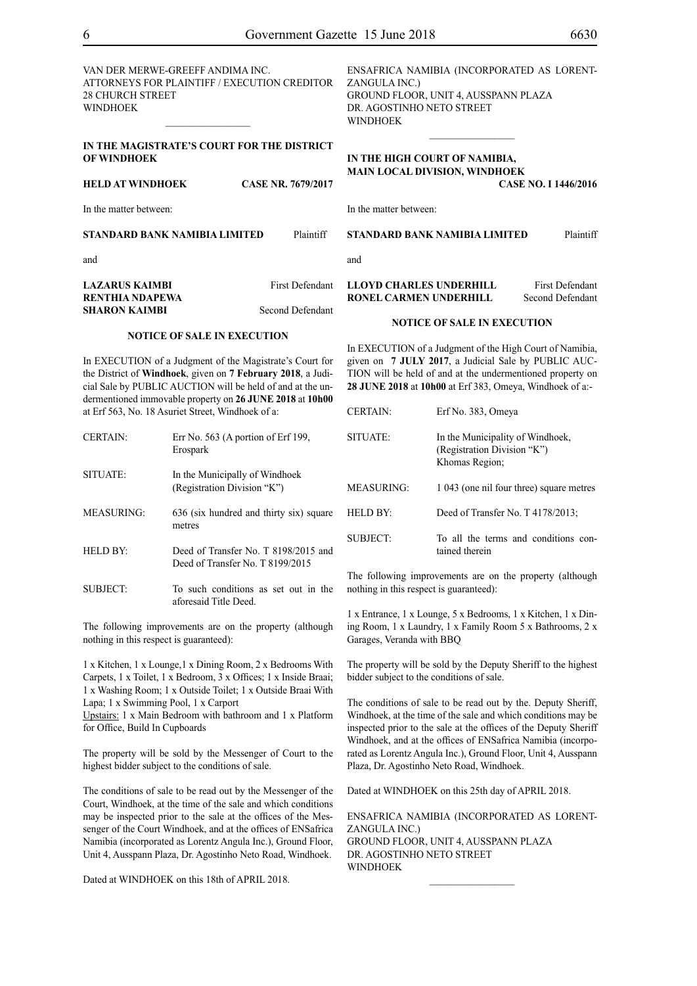VAN DER MERWE-GREEFF ANDIMA INC. ATTORNEYS FOR Plaintiff / EXECUTION CREDITOR 28 CHURCH STREET WINDHOEK

#### **IN THE MAGISTRATE'S COURT FOR THE DISTRICT OF WINDHOEK**

**HELD AT WINDHOEK Case Nr. 7679/2017**

In the matter between:

| STANDARD BANK NAMIBIA LIMITED | Plaintiff |
|-------------------------------|-----------|
| and                           |           |

| <b>LAZARUS KAIMBI</b>  | <b>First Defendant</b> |
|------------------------|------------------------|
| <b>RENTHIA NDAPEWA</b> |                        |
| <b>SHARON KAIMBI</b>   | Second Defendant       |

#### **NOTICE OF SALE IN EXECUTION**

In EXECUTION of a Judgment of the Magistrate's Court for the District of **Windhoek**, given on **7 February 2018**, a Judicial Sale by PUBLIC AUCTION will be held of and at the undermentioned immovable property on **26 JUNE 2018** at **10h00**  at Erf 563, No. 18 Asuriet Street, Windhoek of a:

| <b>CERTAIN:</b>   | Err No. $563$ (A portion of Erf 199,<br>Erospark                         |
|-------------------|--------------------------------------------------------------------------|
| SITUATE:          | In the Municipally of Windhoek<br>(Registration Division "K")            |
| <b>MEASURING:</b> | 636 (six hundred and thirty six) square<br>metres                        |
| HELD BY.          | Deed of Transfer No. T 8198/2015 and<br>Deed of Transfer No. T 8199/2015 |
| SUBJECT:          | To such conditions as set out in the<br>aforesaid Title Deed.            |

The following improvements are on the property (although nothing in this respect is guaranteed):

1 x Kitchen, 1 x Lounge,1 x Dining Room, 2 x Bedrooms With Carpets, 1 x Toilet, 1 x Bedroom, 3 x Offices; 1 x Inside Braai; 1 x Washing Room; 1 x Outside Toilet; 1 x Outside Braai With Lapa; 1 x Swimming Pool, 1 x Carport

Upstairs: 1 x Main Bedroom with bathroom and 1 x Platform for Office, Build In Cupboards

The property will be sold by the Messenger of Court to the highest bidder subject to the conditions of sale.

The conditions of sale to be read out by the Messenger of the Court, Windhoek, at the time of the sale and which conditions may be inspected prior to the sale at the offices of the Messenger of the Court Windhoek, and at the offices of ENSafrica Namibia (incorporated as Lorentz Angula Inc.), Ground Floor, Unit 4, Ausspann Plaza, Dr. Agostinho Neto Road, Windhoek.

Dated at WINDHOEK on this 18th of APRIL 2018.

ENSafrica Namibia (incorporated as LorentzAngula Inc.) Ground Floor, Unit 4, Ausspann Plaza Dr. Agostinho Neto Street WINDHOEK  $\frac{1}{2}$ 

# **IN THE HIGH COURT OF NAMIBIA, MAIN LOCAL DIVISION, WINDHOEK**

**Case No. I 1446/2016**

In the matter between:

**STANDARD BANK NAMIBIA LIMITED** Plaintiff

and

**LLOYD CHARLES UNDERHILL** First Defendant **RONEL CARMEN UNDERHILL** Second Defendant

#### **NOTICE OF SALE IN EXECUTION**

In EXECUTION of a Judgment of the High Court of Namibia, given on **7 JULY 2017**, a Judicial Sale by PUBLIC AUC-TION will be held of and at the undermentioned property on **28 JUNE 2018** at **10h00** at Erf 383, Omeya, Windhoek of a:-

| <b>CERTAIN:</b>   | Erf No. 383, Omeya                                                                |
|-------------------|-----------------------------------------------------------------------------------|
| SITUATE:          | In the Municipality of Windhoek,<br>(Registration Division "K")<br>Khomas Region; |
| <b>MEASURING:</b> | 1 043 (one nil four three) square metres                                          |
| HELD BY:          | Deed of Transfer No. T $4178/2013$ ;                                              |
| <b>SUBJECT:</b>   | To all the terms and conditions con-<br>tained therein                            |

The following improvements are on the property (although nothing in this respect is guaranteed):

1 x Entrance, 1 x Lounge, 5 x Bedrooms, 1 x Kitchen, 1 x Dining Room, 1 x Laundry, 1 x Family Room 5 x Bathrooms, 2 x Garages, Veranda with BBQ

The property will be sold by the Deputy Sheriff to the highest bidder subject to the conditions of sale.

The conditions of sale to be read out by the. Deputy Sheriff, Windhoek, at the time of the sale and which conditions may be inspected prior to the sale at the offices of the Deputy Sheriff Windhoek, and at the offices of ENSafrica Namibia (incorporated as Lorentz Angula Inc.), Ground Floor, Unit 4, Ausspann Plaza, Dr. Agostinho Neto Road, Windhoek.

Dated at WINDHOEK on this 25th day of APRIL 2018.

ENSafrica Namibia (incorporated as LorentzAngula Inc.) Ground Floor, Unit 4, Ausspann Plaza Dr. Agostinho Neto Street WINDHOEK

 $\frac{1}{2}$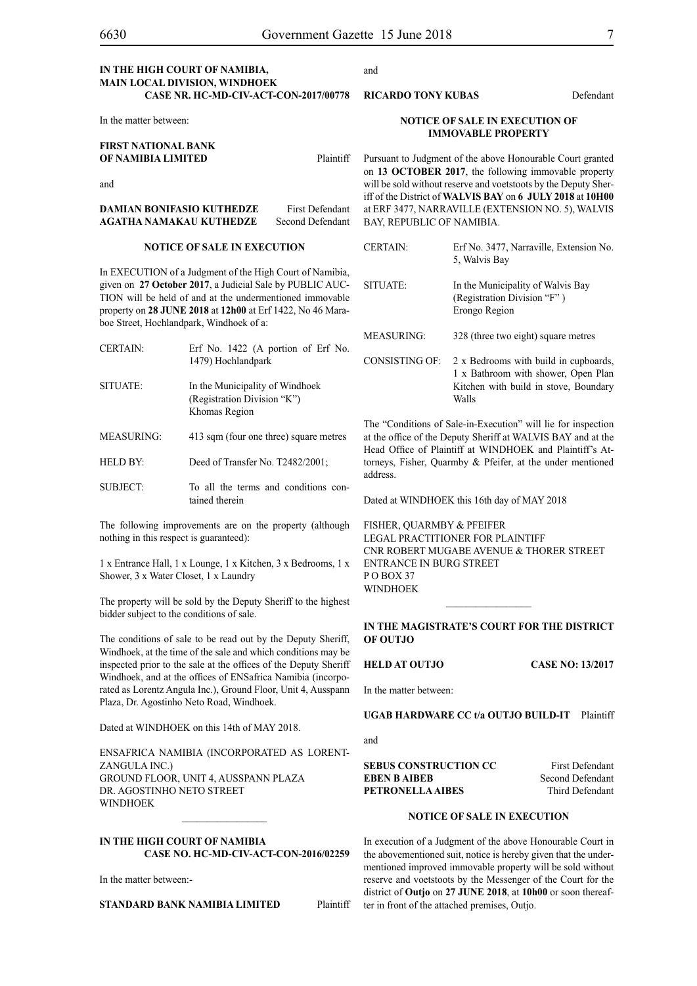#### **IN THE HIGH COURT OF NAMIBIA, MAIN LOCAL DIVISION, WINDHOEK Case Nr. HC-MD-CIV-ACT-CON-2017/00778**

In the matter between:

#### **FIRST NATIONAL BANK OF NAMIBIA LIMITED** Plaintiff

and

**DAMIAN BONIFASIO KUTHEDZE** First Defendant **AGATHA NAMAKAU KUTHEDZE** Second Defendant

#### **NOTICE OF SALE IN EXECUTION**

In EXECUTION of a Judgment of the High Court of Namibia, given on **27 October 2017**, a Judicial Sale by PUBLIC AUC-TION will be held of and at the undermentioned immovable property on **28 JUNE 2018** at **12h00** at Erf 1422, No 46 Maraboe Street, Hochlandpark, Windhoek of a:

| <b>CERTAIN:</b>   | Erf No. $1422$ (A portion of Erf No.<br>1479) Hochlandpark                      |
|-------------------|---------------------------------------------------------------------------------|
| SITUATE:          | In the Municipality of Windhoek<br>(Registration Division "K")<br>Khomas Region |
| <b>MEASURING:</b> | 413 sqm (four one three) square metres                                          |
| <b>HELD BY:</b>   | Deed of Transfer No. T2482/2001;                                                |
| <b>SUBJECT:</b>   | To all the terms and conditions con-<br>tained therein                          |

The following improvements are on the property (although nothing in this respect is guaranteed):

1 x Entrance Hall, 1 x Lounge, 1 x Kitchen, 3 x Bedrooms, 1 x Shower, 3 x Water Closet, 1 x Laundry

The property will be sold by the Deputy Sheriff to the highest bidder subject to the conditions of sale.

The conditions of sale to be read out by the Deputy Sheriff, Windhoek, at the time of the sale and which conditions may be inspected prior to the sale at the offices of the Deputy Sheriff Windhoek, and at the offices of ENSafrica Namibia (incorporated as Lorentz Angula Inc.), Ground Floor, Unit 4, Ausspann Plaza, Dr. Agostinho Neto Road, Windhoek.

Dated at WINDHOEK on this 14th of MAY 2018.

ENSafrica Namibia (incorporated as LorentzAngula Inc.) Ground Floor, Unit 4, Ausspann Plaza Dr. Agostinho Neto Street **WINDHOFK** 

#### **IN THE HIGH COURT OF NAMIBIA CASE No. HC-MD-CIV-ACT-CON-2016/02259**

In the matter between:-

**STANDARD BANK NAMIBIA LIMITED** Plaintiff

and

#### **RICARDO TONY KUBAS** Defendant

#### **NOTICE OF SALE IN EXECUTION OF IMMOVABLE PROPERTY**

Pursuant to Judgment of the above Honourable Court granted on **13 OCTOBER 2017**, the following immovable property will be sold without reserve and voetstoots by the Deputy Sheriff of the District of **WALVIS BAY** on **6 JULY 2018** at **10H00**  at ERF 3477, NARRAVILLE (EXTENSION NO. 5), WALVIS BAY, REPUBLIC OF NAMIBIA.

| <b>CERTAIN:</b>   | Erf No. 3477, Narraville, Extension No.<br>5. Walvis Bay                                                                       |
|-------------------|--------------------------------------------------------------------------------------------------------------------------------|
| SITUATE:          | In the Municipality of Walvis Bay<br>(Registration Division "F")<br>Erongo Region                                              |
| <b>MEASURING:</b> | 328 (three two eight) square metres                                                                                            |
| CONSISTING OF:    | 2 x Bedrooms with build in cupboards,<br>1 x Bathroom with shower, Open Plan<br>Kitchen with build in stove, Boundary<br>Walls |

The "Conditions of Sale-in-Execution" will lie for inspection at the office of the Deputy Sheriff at WALVIS BAY and at the Head Office of Plaintiff at WINDHOEK and Plaintiff's Attorneys, Fisher, Quarmby & Pfeifer, at the under mentioned address.

Dated at WINDHOEK this 16th day of MAY 2018

FISHER, QUARMBY & PFEIFER LEGAL PRACTITIONER FOR Plaintiff Cnr Robert Mugabe Avenue & Thorer Street Entrance in Burg Street P O BOX 37 WINDHOEK

#### **IN THE MAGISTRATE'S COURT FOR THE DISTRICT OF OUTJO**

 $\frac{1}{2}$ 

**HELD AT OUTJO CASE NO: 13/2017**

In the matter between:

**UGAB HARDWARE CC t/a OUTJO BUILD-IT** Plaintiff

and

**SEBUS CONSTRUCTION CC** First Defendant **EBEN B AIBEB** Second Defendant **PETRONELLA AIBES** Third Defendant

# **NOTICE OF SALE IN EXECUTION**

In execution of a Judgment of the above Honourable Court in the abovementioned suit, notice is hereby given that the undermentioned improved immovable property will be sold without reserve and voetstoots by the Messenger of the Court for the district of **Outjo** on **27 JUNE 2018**, at **10h00** or soon thereafter in front of the attached premises, Outjo.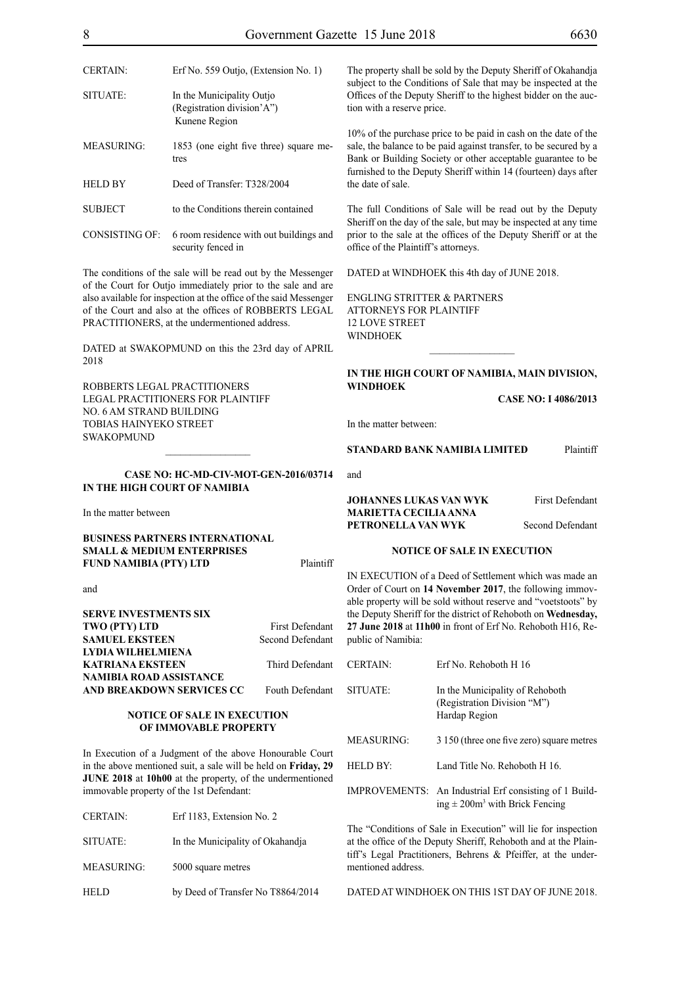| <b>CERTAIN:</b>   | Erf No. 559 Outjo, (Extension No. 1)                                     |
|-------------------|--------------------------------------------------------------------------|
| SITUATE:          | In the Municipality Outjo<br>(Registration division'A")<br>Kunene Region |
| <b>MEASURING:</b> | 1853 (one eight five three) square me-<br>tres                           |
| <b>HELD BY</b>    | Deed of Transfer: T328/2004                                              |
| <b>SUBJECT</b>    | to the Conditions therein contained                                      |
| CONSISTING OF     | 6 room residence with out buildings and<br>security fenced in            |

The conditions of the sale will be read out by the Messenger of the Court for Outjo immediately prior to the sale and are also available for inspection at the office of the said Messenger of the Court and also at the offices of ROBBERTS LEGAL PRACTITIONERS, at the undermentioned address.

DATED at SWAKOPMUND on this the 23rd day of APRIL 2018

ROBBERTS LEGAL PRACTITIONERS Legal Practitioners for Plaintiff No. 6 Am Strand Building Tobias Hainyeko Street **SWAKOPMUND** 

**CASE NO: HC-MD-CIV-MOT-GEN-2016/03714 IN THE HIGH COURT OF NAMIBIA**

 $\frac{1}{2}$ 

In the matter between

**BUSINESS PARTNERS INTERNATIONAL SMALL & MEDIUM ENTERPRISES FUND NAMIBIA (PTY) LTD** Plaintiff

and

| <b>SERVE INVESTMENTS SIX</b> |                        |
|------------------------------|------------------------|
| TWO (PTY) LTD                | <b>First Defendant</b> |
| <b>SAMUEL EKSTEEN</b>        | Second Defendant       |
| LYDIA WILHELMIENA            |                        |
| <b>KATRIANA EKSTEEN</b>      | Third Defendant        |
| NAMIBIA ROAD ASSISTANCE      |                        |
| AND BREAKDOWN SERVICES CC    | <b>Fouth Defendant</b> |

#### **NOTICE OF SALE IN EXECUTION OF IMMOVABLE PROPERTY**

In Execution of a Judgment of the above Honourable Court in the above mentioned suit, a sale will be held on **Friday, 29 JUNE 2018** at **10h00** at the property, of the undermentioned immovable property of the 1st Defendant:

| <b>CERTAIN:</b>   | Erf 1183, Extension No. 2         |
|-------------------|-----------------------------------|
| SITUATE:          | In the Municipality of Okahandja  |
| <b>MEASURING:</b> | 5000 square metres                |
| <b>HELD</b>       | by Deed of Transfer No T8864/2014 |

The property shall be sold by the Deputy Sheriff of Okahandja subject to the Conditions of Sale that may be inspected at the Offices of the Deputy Sheriff to the highest bidder on the auction with a reserve price.

10% of the purchase price to be paid in cash on the date of the sale, the balance to be paid against transfer, to be secured by a Bank or Building Society or other acceptable guarantee to be furnished to the Deputy Sheriff within 14 (fourteen) days after the date of sale.

The full Conditions of Sale will be read out by the Deputy Sheriff on the day of the sale, but may be inspected at any time prior to the sale at the offices of the Deputy Sheriff or at the office of the Plaintiff's attorneys.

DATED at WINDHOEK this 4th day of JUNE 2018.

ENGLING STRITTER & PARTNERS Attorneys for Plaintiff 12 Love Street WINDHOEK

#### **IN THE HIGH COURT OF NAMIBIA, MAIN DIVISION, WINDHOEK**

 $\frac{1}{2}$ 

**CASE NO: I 4086/2013**

In the matter between:

and

# **STANDARD BANK NAMIBIA LIMITED** Plaintiff

### **JOHANNES LUKAS VAN WYK** First Defendant **MARIETTA CECILIA ANNA PETRONELLA VAN WYK** Second Defendant

#### **NOTICE OF SALE IN EXECUTION**

IN EXECUTION of a Deed of Settlement which was made an Order of Court on **14 November 2017**, the following immovable property will be sold without reserve and "voetstoots" by the Deputy Sheriff for the district of Rehoboth on **Wednesday, 27 June 2018** at **11h00** in front of Erf No. Rehoboth H16, Republic of Namibia:

| <b>CERTAIN:</b> | Erf No. Rehoboth H 16                                                                                    |
|-----------------|----------------------------------------------------------------------------------------------------------|
| SITUATE:        | In the Municipality of Rehoboth<br>(Registration Division "M")<br>Hardap Region                          |
| MEASURING:      | 3 150 (three one five zero) square metres                                                                |
| HELD BY:        | Land Title No. Rehoboth H 16.                                                                            |
|                 | IMPROVEMENTS: An Industrial Erf consisting of 1 Build-<br>ing $\pm$ 200m <sup>3</sup> with Brick Fencing |

The "Conditions of Sale in Execution" will lie for inspection at the office of the Deputy Sheriff, Rehoboth and at the Plaintiff's Legal Practitioners, Behrens & Pfeiffer, at the undermentioned address.

DATED AT WINDHOEK ON THIS 1ST DAY OF JUNE 2018.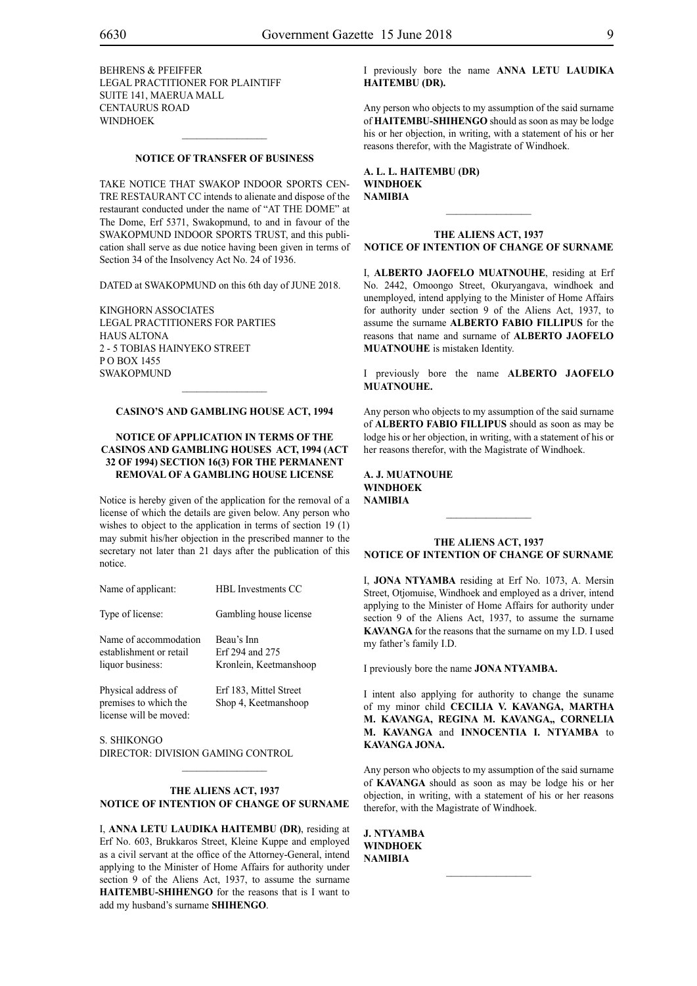BEHRENS & PFEIFFER LEGAL PRACTITIONER FOR Plaintiff SUITE 141, MAERUA MALL CENTAURUS ROAD WINDHOEK

#### **NOTICE OF TRANSFER OF BUSINESS**

 $\frac{1}{2}$ 

TAKE NOTICE THAT SWAKOP INDOOR SPORTS CEN-TRE RESTAURANT CC intends to alienate and dispose of the restaurant conducted under the name of "AT THE DOME" at The Dome, Erf 5371, Swakopmund, to and in favour of the SWAKOPMUND INDOOR SPORTS TRUST, and this publication shall serve as due notice having been given in terms of Section 34 of the Insolvency Act No. 24 of 1936.

DATED at SWAKOPMUND on this 6th day of JUNE 2018.

KINGHORN ASSOCIATES LEGAL PRACTITIONERS FOR PARTIES HAUS ALTONA 2 - 5 TOBIAS HAINYEKO STREET P O BOX 1455 SWAKOPMUND

#### **CASINO'S AND GAMBLING HOUSE ACT, 1994**

 $\frac{1}{2}$ 

#### **NOTICE OF APPLICATION IN TERMS OF THE CASINOS AND GAMBLING HOUSES ACT, 1994 (ACT 32 OF 1994) SECTION 16(3) FOR THE PERMANENT REMOVAL OF A GAMBLING HOUSE LICENSE**

Notice is hereby given of the application for the removal of a license of which the details are given below. Any person who wishes to object to the application in terms of section 19 (1) may submit his/her objection in the prescribed manner to the secretary not later than 21 days after the publication of this notice.

| Name of applicant:                                                   | <b>HBL</b> Investments CC                               |
|----------------------------------------------------------------------|---------------------------------------------------------|
| Type of license:                                                     | Gambling house license                                  |
| Name of accommodation<br>establishment or retail<br>liquor business: | Beau's Inn<br>Erf 294 and 275<br>Kronlein, Keetmanshoop |

Physical address of Erf 183, Mittel Street premises to which the Shop 4, Keetmanshoop license will be moved:

S. SHIKONGO DIRECTOR: DIVISION GAMING CONTROL

#### **THE ALIENS ACT, 1937 NOTICE OF INTENTION OF CHANGE OF SURNAME**

 $\mathcal{L}_\text{max}$ 

I, **anna letu laudika haitembu (DR)**, residing at Erf No. 603, Brukkaros Street, Kleine Kuppe and employed as a civil servant at the office of the Attorney-General, intend applying to the Minister of Home Affairs for authority under section 9 of the Aliens Act, 1937, to assume the surname **HAITEMBU-SHIHENGO** for the reasons that is I want to add my husband's surname **SHIHENGO**.

I previously bore the name **ANNA LETU LAUDIKA HAITEMBU (DR).** 

Any person who objects to my assumption of the said surname of HAITEMBU-SHIHENGO should as soon as may be lodge his or her objection, in writing, with a statement of his or her reasons therefor, with the Magistrate of Windhoek.

**a. l. l. haitembu (DR) windhoek NAMIBIA**

#### **THE ALIENS ACT, 1937 NOTICE OF INTENTION OF CHANGE OF SURNAME**

 $\frac{1}{2}$ 

I, **alberto jaofelo muatnouhe**, residing at Erf No. 2442, Omoongo Street, Okuryangava, windhoek and unemployed, intend applying to the Minister of Home Affairs for authority under section 9 of the Aliens Act, 1937, to assume the surname **alberto fabio fillipus** for the reasons that name and surname of **ALBERTO JAOFELO MUATNOUHE** is mistaken Identity.

I previously bore the name **alberto jaofelo muatnouhe.**

Any person who objects to my assumption of the said surname of **alberto fabio fillipus** should as soon as may be lodge his or her objection, in writing, with a statement of his or her reasons therefor, with the Magistrate of Windhoek.

**a. j. muatnouhe windhoek NAMIBIA**

#### **THE ALIENS ACT, 1937 NOTICE OF INTENTION OF CHANGE OF SURNAME**

 $\frac{1}{2}$ 

I, **jona ntyamba** residing at Erf No. 1073, A. Mersin Street, Otjomuise, Windhoek and employed as a driver, intend applying to the Minister of Home Affairs for authority under section 9 of the Aliens Act, 1937, to assume the surname **kavanga** for the reasons that the surname on my I.D. I used my father's family I.D.

I previously bore the name **jona ntyamba.**

I intent also applying for authority to change the suname of my minor child **Cecilia V. Kavanga, martha m. kavanga, regina m. kavanga,, cornelia m. kavanga** and **innocentia i. ntyamba** to **KAVANGA JONA.**

Any person who objects to my assumption of the said surname of **kavanga** should as soon as may be lodge his or her objection, in writing, with a statement of his or her reasons therefor, with the Magistrate of Windhoek.

 $\frac{1}{2}$ 

**j. ntyamba windhoek NAMIBIA**